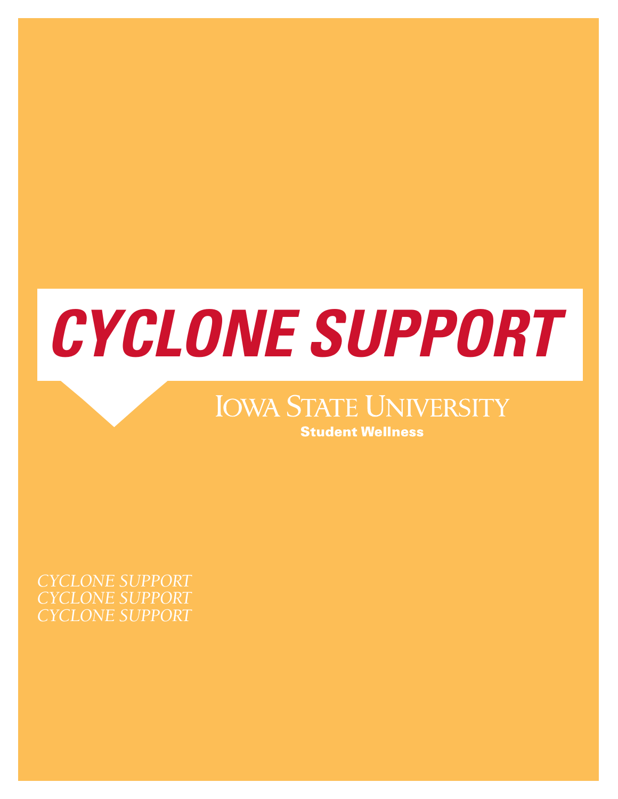

# **IOWA STATE UNIVERSITY Student Wellness**

*CYCLONE SUPPORT CYCLONE SUPPORT CYCLONE SUPPORT*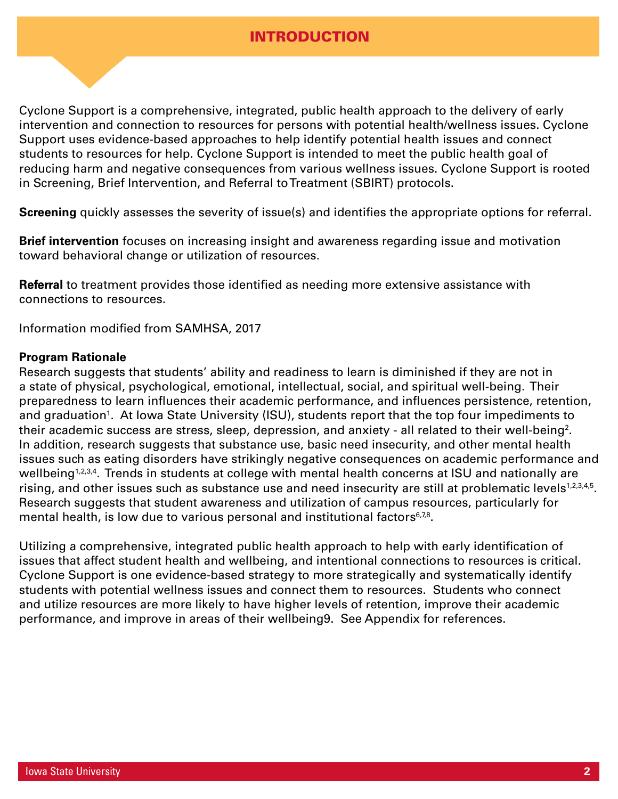# INTRODUCTION

Cyclone Support is a comprehensive, integrated, public health approach to the delivery of early intervention and connection to resources for persons with potential health/wellness issues. Cyclone Support uses evidence-based approaches to help identify potential health issues and connect students to resources for help. Cyclone Support is intended to meet the public health goal of reducing harm and negative consequences from various wellness issues. Cyclone Support is rooted in Screening, Brief Intervention, and Referral to Treatment (SBIRT) protocols.

**Screening** quickly assesses the severity of issue(s) and identifies the appropriate options for referral.

**Brief intervention** focuses on increasing insight and awareness regarding issue and motivation toward behavioral change or utilization of resources.

**Referral** to treatment provides those identified as needing more extensive assistance with connections to resources.

Information modified from SAMHSA, 2017

### **Program Rationale**

Research suggests that students' ability and readiness to learn is diminished if they are not in a state of physical, psychological, emotional, intellectual, social, and spiritual well-being. Their preparedness to learn influences their academic performance, and influences persistence, retention, and graduation<sup>1</sup>. At lowa State University (ISU), students report that the top four impediments to their academic success are stress, sleep, depression, and anxiety - all related to their well-being<sup>2</sup>. In addition, research suggests that substance use, basic need insecurity, and other mental health issues such as eating disorders have strikingly negative consequences on academic performance and wellbeing<sup>1,2,3,4</sup>. Trends in students at college with mental health concerns at ISU and nationally are rising, and other issues such as substance use and need insecurity are still at problematic levels<sup>1,2,3,4,5</sup>. Research suggests that student awareness and utilization of campus resources, particularly for mental health, is low due to various personal and institutional factors $6,78$ .

Utilizing a comprehensive, integrated public health approach to help with early identification of issues that affect student health and wellbeing, and intentional connections to resources is critical. Cyclone Support is one evidence-based strategy to more strategically and systematically identify students with potential wellness issues and connect them to resources. Students who connect and utilize resources are more likely to have higher levels of retention, improve their academic performance, and improve in areas of their wellbeing9. See Appendix for references.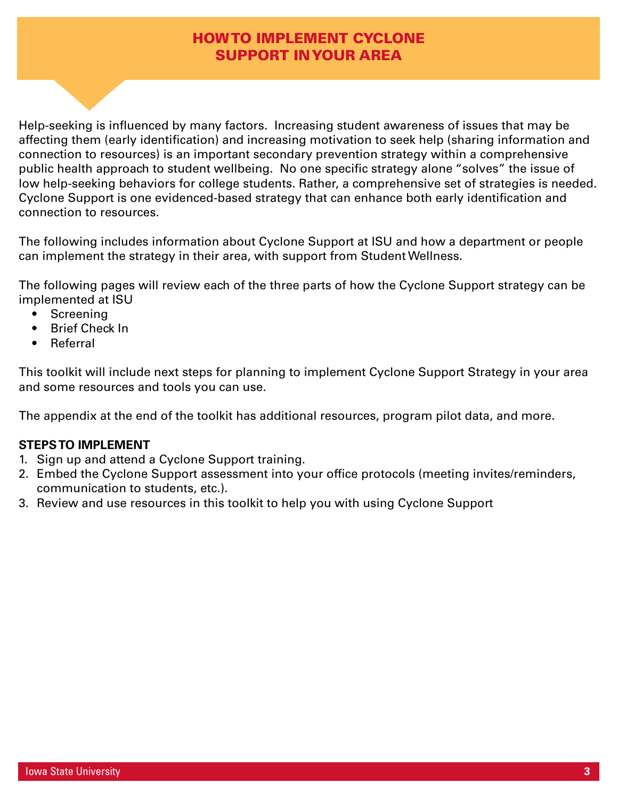# HOW TO IMPLEMENT CYCLONE SUPPORT IN YOUR AREA

Help-seeking is influenced by many factors. Increasing student awareness of issues that may be affecting them (early identification) and increasing motivation to seek help (sharing information and connection to resources) is an important secondary prevention strategy within a comprehensive public health approach to student wellbeing. No one specific strategy alone "solves" the issue of low help-seeking behaviors for college students. Rather, a comprehensive set of strategies is needed. Cyclone Support is one evidenced-based strategy that can enhance both early identification and connection to resources.

The following includes information about Cyclone Support at ISU and how a department or people can implement the strategy in their area, with support from Student Wellness.

The following pages will review each of the three parts of how the Cyclone Support strategy can be implemented at ISU

- Screening
- Brief Check In
- Referral

This toolkit will include next steps for planning to implement Cyclone Support Strategy in your area and some resources and tools you can use.

The appendix at the end of the toolkit has additional resources, program pilot data, and more.

### **STEPS TO IMPLEMENT**

- 1. Sign up and attend a Cyclone Support training.
- 2. Embed the Cyclone Support assessment into your office protocols (meeting invites/reminders, communication to students, etc.).
- 3. Review and use resources in this toolkit to help you with using Cyclone Support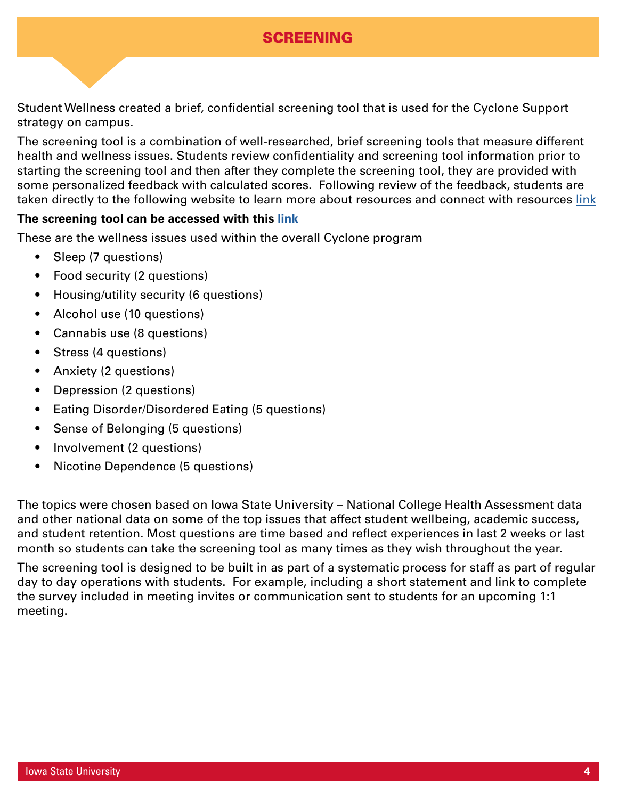# SCREENING

Student Wellness created a brief, confidential screening tool that is used for the Cyclone Support strategy on campus.

The screening tool is a combination of well-researched, brief screening tools that measure different health and wellness issues. Students review confidentiality and screening tool information prior to starting the screening tool and then after they complete the screening tool, they are provided with some personalized feedback with calculated scores. Following review of the feedback, students are taken directly to the following website to learn more about resources and connect with resources [link](https://www.studentwellness.iastate.edu/wellbeingresources)

### **The screening tool can be accessed with this [link](https://iastate.qualtrics.com/jfe/form/SV_czRp5BjPeeMEdYV)**

These are the wellness issues used within the overall Cyclone program

- Sleep (7 questions)
- Food security (2 questions)
- Housing/utility security (6 questions)
- Alcohol use (10 questions)
- Cannabis use (8 questions)
- Stress (4 questions)
- Anxiety (2 questions)
- Depression (2 questions)
- Eating Disorder/Disordered Eating (5 questions)
- Sense of Belonging (5 questions)
- Involvement (2 questions)
- Nicotine Dependence (5 questions)

The topics were chosen based on Iowa State University – National College Health Assessment data and other national data on some of the top issues that affect student wellbeing, academic success, and student retention. Most questions are time based and reflect experiences in last 2 weeks or last month so students can take the screening tool as many times as they wish throughout the year.

The screening tool is designed to be built in as part of a systematic process for staff as part of regular day to day operations with students. For example, including a short statement and link to complete the survey included in meeting invites or communication sent to students for an upcoming 1:1 meeting.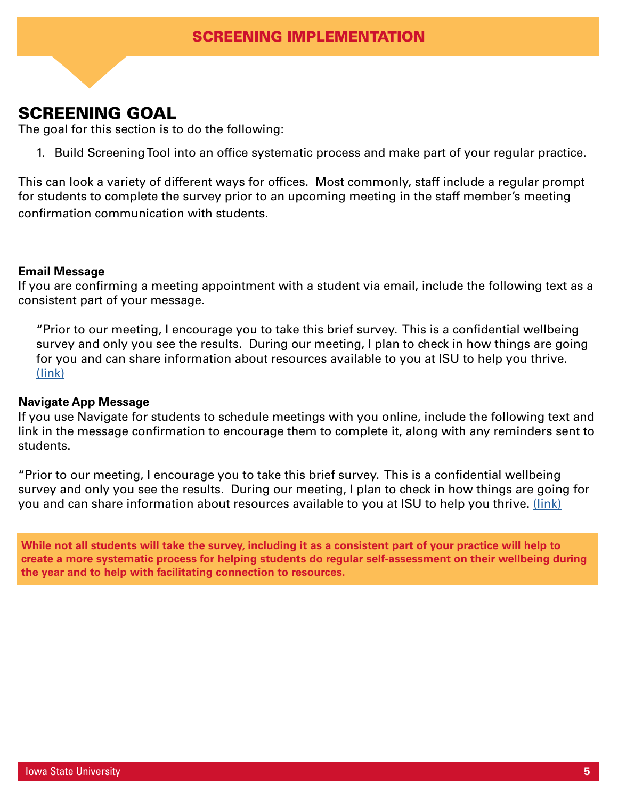# SCREENING GOAL

The goal for this section is to do the following:

1. Build Screening Tool into an office systematic process and make part of your regular practice.

This can look a variety of different ways for offices. Most commonly, staff include a regular prompt for students to complete the survey prior to an upcoming meeting in the staff member's meeting confirmation communication with students.

### **Email Message**

If you are confirming a meeting appointment with a student via email, include the following text as a consistent part of your message.

"Prior to our meeting, I encourage you to take this brief survey. This is a confidential wellbeing survey and only you see the results. During our meeting, I plan to check in how things are going for you and can share information about resources available to you at ISU to help you thrive. [\(link\)](https://iastate.qualtrics.com/jfe/form/SV_czRp5BjPeeMEdYV)

### **Navigate App Message**

If you use Navigate for students to schedule meetings with you online, include the following text and link in the message confirmation to encourage them to complete it, along with any reminders sent to students.

"Prior to our meeting, I encourage you to take this brief survey. This is a confidential wellbeing survey and only you see the results. During our meeting, I plan to check in how things are going for you and can share information about resources available to you at ISU to help you thrive. [\(link\)](https://iastate.qualtrics.com/jfe/form/SV_czRp5BjPeeMEdYV)

**While not all students will take the survey, including it as a consistent part of your practice will help to create a more systematic process for helping students do regular self-assessment on their wellbeing during the year and to help with facilitating connection to resources.**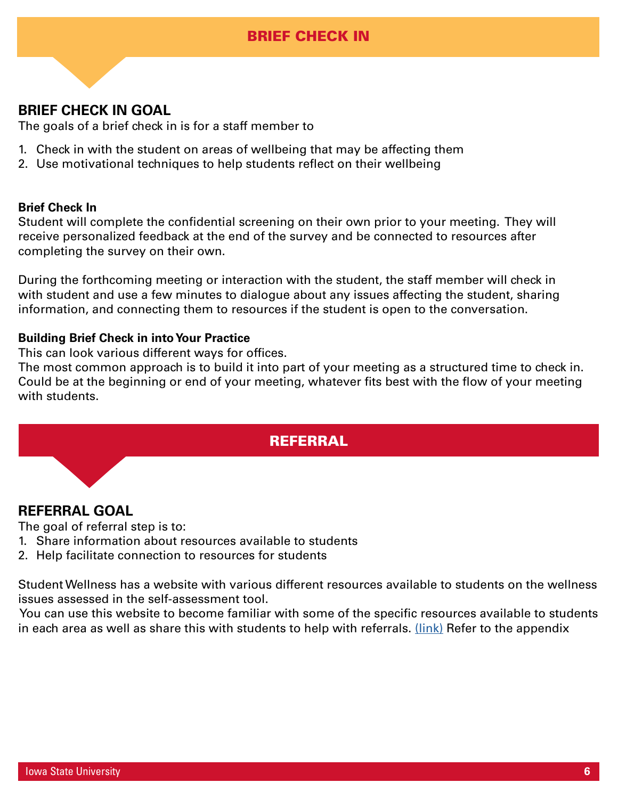# BRIEF CHECK IN

# **BRIEF CHECK IN GOAL**

The goals of a brief check in is for a staff member to

- 1. Check in with the student on areas of wellbeing that may be affecting them
- 2. Use motivational techniques to help students reflect on their wellbeing

### **Brief Check In**

Student will complete the confidential screening on their own prior to your meeting. They will receive personalized feedback at the end of the survey and be connected to resources after completing the survey on their own.

During the forthcoming meeting or interaction with the student, the staff member will check in with student and use a few minutes to dialogue about any issues affecting the student, sharing information, and connecting them to resources if the student is open to the conversation.

### **Building Brief Check in into Your Practice**

This can look various different ways for offices.

The most common approach is to build it into part of your meeting as a structured time to check in. Could be at the beginning or end of your meeting, whatever fits best with the flow of your meeting with students.

# **REFERRAL**

# **REFERRAL GOAL**

The goal of referral step is to:

- 1. Share information about resources available to students
- 2. Help facilitate connection to resources for students

Student Wellness has a website with various different resources available to students on the wellness issues assessed in the self-assessment tool.

 You can use this website to become familiar with some of the specific resources available to students in each area as well as share this with students to help with referrals. [\(link\)](https://www.studentwellness.iastate.edu/wellbeingresources) Refer to the appendix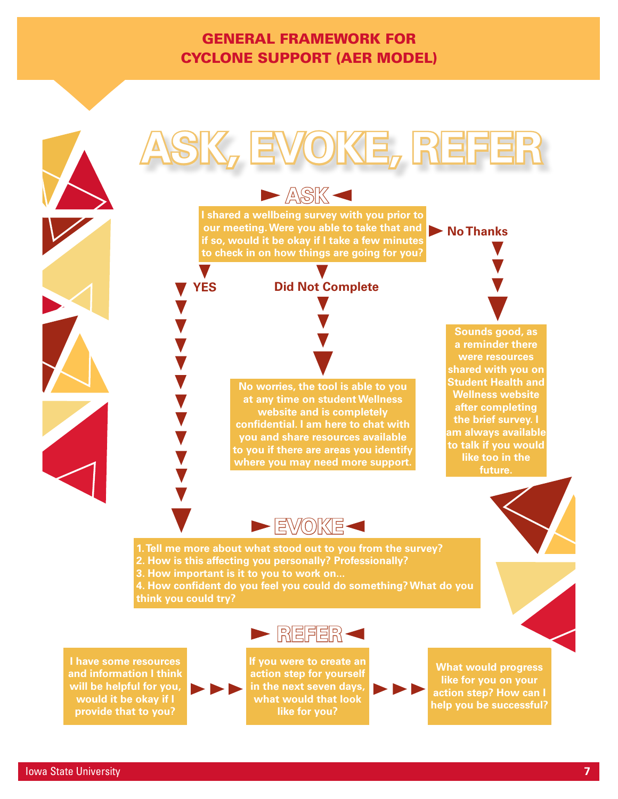# GENERAL FRAMEWORK FOR CYCLONE SUPPORT (AER MODEL)

**ASK**



**I shared a wellbeing survey with you prior to our meeting. Were you able to take that and if so, would it be okay if I take a few minutes to check in on how things are going for you? No Thanks**

### **Did Not Complete**

**No worries, the tool is able to you at any time on student Wellness website and is completely confidential. I am here to chat with you and share resources available to you if there are areas you identify where you may need more support.**

**Sounds good, as a reminder there were resources shared with you on Student Health and Wellness website after completing the brief survey. I am always available to talk if you would like too in the future.**



**1. Tell me more about what stood out to you from the survey? 2. How is this affecting you personally? Professionally?**

**3. How important is it to you to work on...**

**YES**

**4. How confident do you feel you could do something? What do you think you could try?**



**I have some resources and information I think will be helpful for you, would it be okay if I provide that to you?**



**action step for yourself in the next seven days, what would that look like for you?**

**What would progress like for you on your action step? How can I help you be successful?**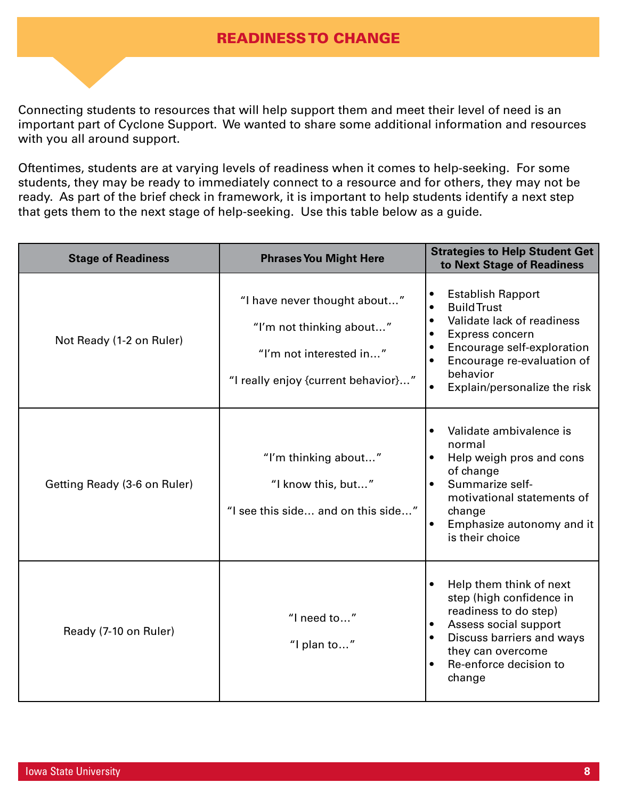# READINESS TO CHANGE

Connecting students to resources that will help support them and meet their level of need is an important part of Cyclone Support. We wanted to share some additional information and resources with you all around support.

Oftentimes, students are at varying levels of readiness when it comes to help-seeking. For some students, they may be ready to immediately connect to a resource and for others, they may not be ready. As part of the brief check in framework, it is important to help students identify a next step that gets them to the next stage of help-seeking. Use this table below as a guide.

| <b>Stage of Readiness</b>    | <b>Phrases You Might Here</b>                                                                                              | <b>Strategies to Help Student Get</b><br>to Next Stage of Readiness                                                                                                                                                                                                                   |
|------------------------------|----------------------------------------------------------------------------------------------------------------------------|---------------------------------------------------------------------------------------------------------------------------------------------------------------------------------------------------------------------------------------------------------------------------------------|
| Not Ready (1-2 on Ruler)     | "I have never thought about"<br>"I'm not thinking about"<br>"I'm not interested in"<br>"I really enjoy {current behavior}" | <b>Establish Rapport</b><br>$\bullet$<br><b>Build Trust</b><br>$\bullet$<br>Validate lack of readiness<br>$\bullet$<br>Express concern<br>$\bullet$<br>Encourage self-exploration<br>$\bullet$<br>Encourage re-evaluation of<br>behavior<br>Explain/personalize the risk<br>$\bullet$ |
| Getting Ready (3-6 on Ruler) | "I'm thinking about"<br>"I know this, but"<br>"I see this side and on this side"                                           | Validate ambivalence is<br>$\bullet$<br>normal<br>Help weigh pros and cons<br>of change<br>Summarize self-<br>$\bullet$<br>motivational statements of<br>change<br>Emphasize autonomy and it<br>is their choice                                                                       |
| Ready (7-10 on Ruler)        | "I need to"<br>"I plan to"                                                                                                 | Help them think of next<br>$\bullet$<br>step (high confidence in<br>readiness to do step)<br>Assess social support<br>$\bullet$<br>Discuss barriers and ways<br>$\bullet$<br>they can overcome<br>Re-enforce decision to<br>$\bullet$<br>change                                       |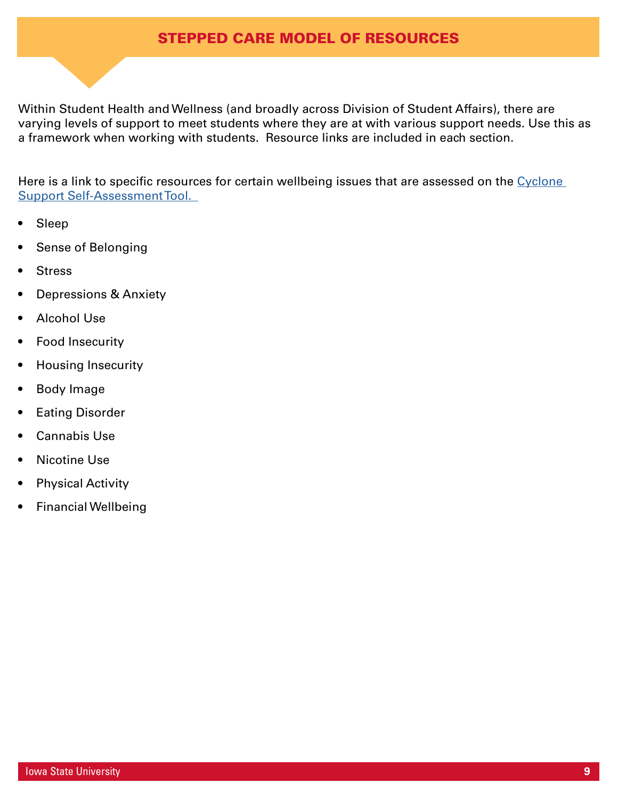# STEPPED CARE MODEL OF RESOURCES

Within Student Health and Wellness (and broadly across Division of Student Affairs), there are varying levels of support to meet students where they are at with various support needs. Use this as a framework when working with students. Resource links are included in each section.

Here is a link to specific resources for certain wellbeing issues that are assessed on the Cyclone [Support Self-Assessment Tool.](https://www.studentwellness.iastate.edu/wellbeingresources  ) 

- Sleep
- Sense of Belonging
- **Stress**
- Depressions & Anxiety
- Alcohol Use
- Food Insecurity
- Housing Insecurity
- Body Image
- Eating Disorder
- Cannabis Use
- Nicotine Use
- **Physical Activity**
- Financial Wellbeing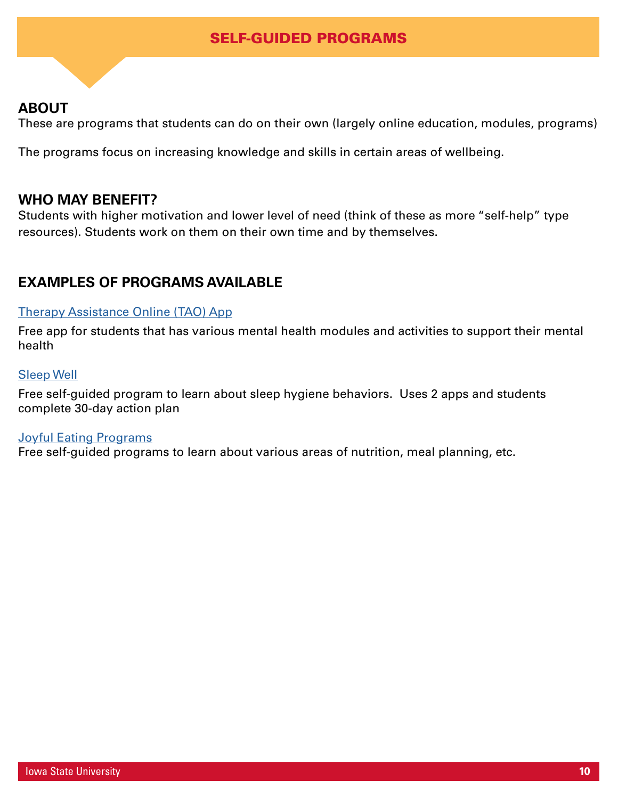# SELF-GUIDED PROGRAMS

# **ABOUT**

These are programs that students can do on their own (largely online education, modules, programs)

The programs focus on increasing knowledge and skills in certain areas of wellbeing.

### **WHO MAY BENEFIT?**

Students with higher motivation and lower level of need (think of these as more "self-help" type resources). Students work on them on their own time and by themselves.

# **EXAMPLES OF PROGRAMS AVAILABLE**

### [Therapy Assistance Online \(TAO\) App](https://www.counseling.iastate.edu/resources/tao-self-help/)

Free app for students that has various mental health modules and activities to support their mental health

### [Sleep Well](https://www.studentwellness.iastate.edu/sleep-well/)

Free self-guided program to learn about sleep hygiene behaviors. Uses 2 apps and students complete 30-day action plan

### **[Joyful Eating Programs](https://www.studentwellness.iastate.edu/joyful-eating-online-programs/)**

Free self-guided programs to learn about various areas of nutrition, meal planning, etc.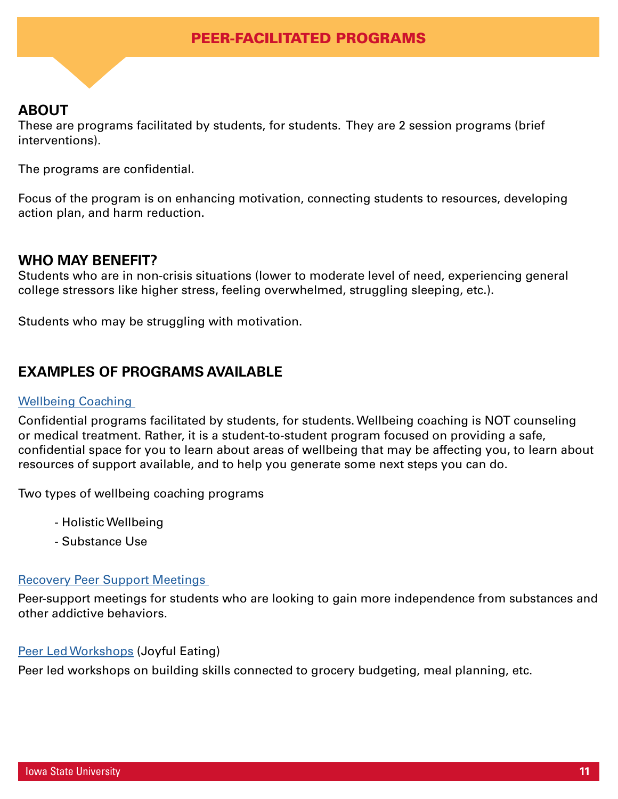# PEER-FACILITATED PROGRAMS

# **ABOUT**

These are programs facilitated by students, for students. They are 2 session programs (brief interventions).

The programs are confidential.

Focus of the program is on enhancing motivation, connecting students to resources, developing action plan, and harm reduction.

### **WHO MAY BENEFIT?**

Students who are in non-crisis situations (lower to moderate level of need, experiencing general college stressors like higher stress, feeling overwhelmed, struggling sleeping, etc.).

Students who may be struggling with motivation.

# **EXAMPLES OF PROGRAMS AVAILABLE**

### [Wellbeing Coaching](https://www.studentwellness.iastate.edu/wellbeingcoaching/)

Confidential programs facilitated by students, for students. Wellbeing coaching is NOT counseling or medical treatment. Rather, it is a student-to-student program focused on providing a safe, confidential space for you to learn about areas of wellbeing that may be affecting you, to learn about resources of support available, and to help you generate some next steps you can do.

Two types of wellbeing coaching programs

- Holistic Wellbeing
- Substance Use

### [Recovery Peer Support Meetings](https://www.studentwellness.iastate.edu/crcmeetings)

Peer-support meetings for students who are looking to gain more independence from substances and other addictive behaviors.

### [Peer Led Workshops](https://www.studentwellness.iastate.edu/joyful-eating-resources/) (Joyful Eating)

Peer led workshops on building skills connected to grocery budgeting, meal planning, etc.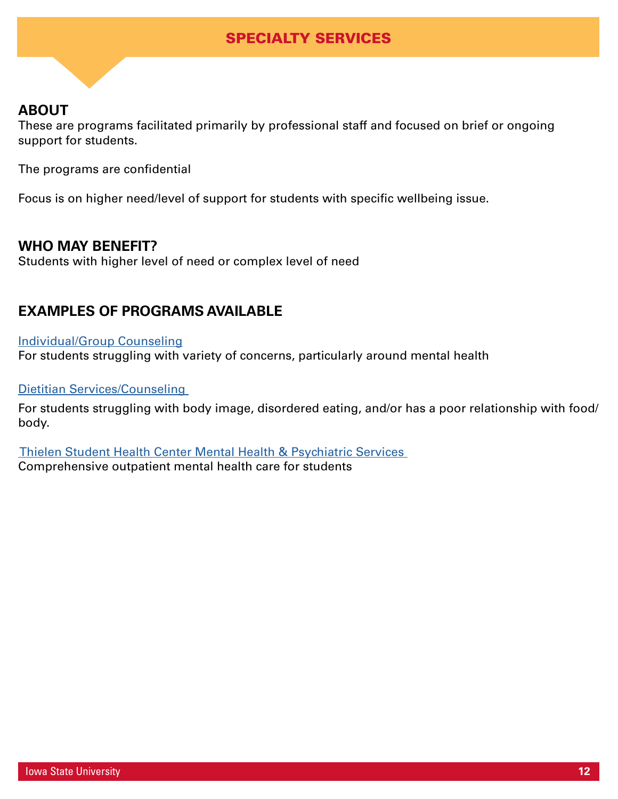# SPECIALTY SERVICES

# **ABOUT**

These are programs facilitated primarily by professional staff and focused on brief or ongoing support for students.

The programs are confidential

Focus is on higher need/level of support for students with specific wellbeing issue.

### **WHO MAY BENEFIT?**

Students with higher level of need or complex level of need

# **EXAMPLES OF PROGRAMS AVAILABLE**

### [Individual/Group Counseling](https://www.counseling.iastate.edu/)

For students struggling with variety of concerns, particularly around mental health

### [Dietitian Services/Counseling](https://www.studentwellness.iastate.edu/joyful-eating-resources/)

For students struggling with body image, disordered eating, and/or has a poor relationship with food/ body.

 [Thielen Student Health Center Mental Health & Psychiatric Services](https://health.iastate.edu/services/mental-health/)  Comprehensive outpatient mental health care for students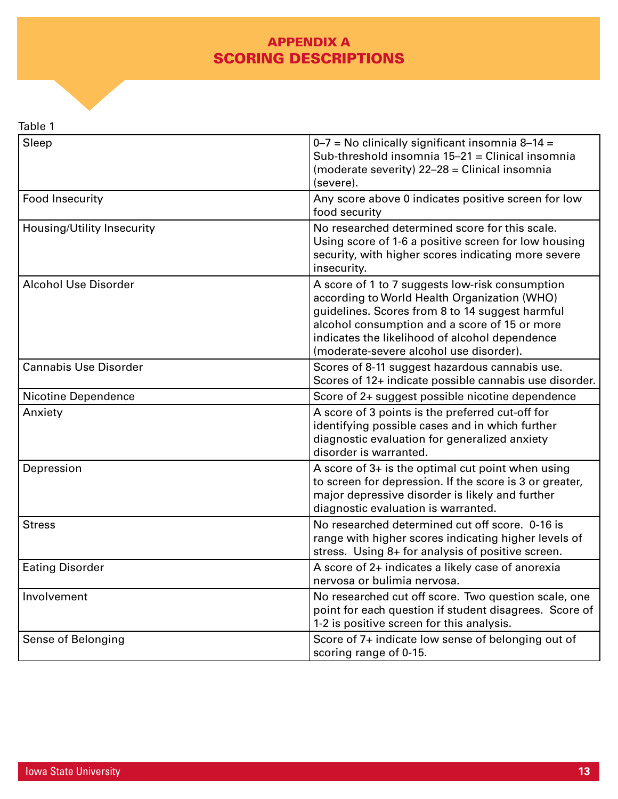# APPENDIX A SCORING DESCRIPTIONS

| Table |
|-------|
|-------|

| Sleep                        | $0 - 7$ = No clinically significant insomnia 8-14 =<br>Sub-threshold insomnia 15-21 = Clinical insomnia<br>(moderate severity) 22-28 = Clinical insomnia<br>(severe).                                                                                                                            |
|------------------------------|--------------------------------------------------------------------------------------------------------------------------------------------------------------------------------------------------------------------------------------------------------------------------------------------------|
| Food Insecurity              | Any score above 0 indicates positive screen for low<br>food security                                                                                                                                                                                                                             |
| Housing/Utility Insecurity   | No researched determined score for this scale.<br>Using score of 1-6 a positive screen for low housing<br>security, with higher scores indicating more severe<br>insecurity.                                                                                                                     |
| <b>Alcohol Use Disorder</b>  | A score of 1 to 7 suggests low-risk consumption<br>according to World Health Organization (WHO)<br>guidelines. Scores from 8 to 14 suggest harmful<br>alcohol consumption and a score of 15 or more<br>indicates the likelihood of alcohol dependence<br>(moderate-severe alcohol use disorder). |
| <b>Cannabis Use Disorder</b> | Scores of 8-11 suggest hazardous cannabis use.<br>Scores of 12+ indicate possible cannabis use disorder.                                                                                                                                                                                         |
| <b>Nicotine Dependence</b>   | Score of 2+ suggest possible nicotine dependence                                                                                                                                                                                                                                                 |
| Anxiety                      | A score of 3 points is the preferred cut-off for<br>identifying possible cases and in which further<br>diagnostic evaluation for generalized anxiety<br>disorder is warranted.                                                                                                                   |
| Depression                   | A score of 3+ is the optimal cut point when using<br>to screen for depression. If the score is 3 or greater,<br>major depressive disorder is likely and further<br>diagnostic evaluation is warranted.                                                                                           |
| <b>Stress</b>                | No researched determined cut off score, 0-16 is<br>range with higher scores indicating higher levels of<br>stress. Using 8+ for analysis of positive screen.                                                                                                                                     |
| <b>Eating Disorder</b>       | A score of 2+ indicates a likely case of anorexia<br>nervosa or bulimia nervosa.                                                                                                                                                                                                                 |
| Involvement                  | No researched cut off score. Two question scale, one<br>point for each question if student disagrees. Score of<br>1-2 is positive screen for this analysis.                                                                                                                                      |
| Sense of Belonging           | Score of 7+ indicate low sense of belonging out of<br>scoring range of 0-15.                                                                                                                                                                                                                     |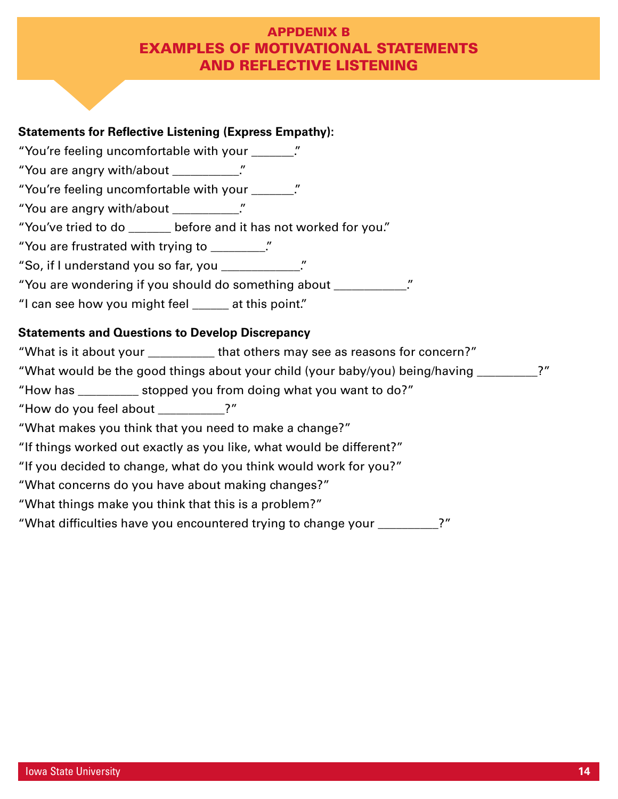# APPDENIX B EXAMPLES OF MOTIVATIONAL STATEMENTS AND REFLECTIVE LISTENING

### **Statements for Reflective Listening (Express Empathy):**

- "You're feeling uncomfortable with your \_\_\_\_\_\_\_."
- "You are angry with/about \_\_\_\_\_\_\_\_\_\_."
- "You're feeling uncomfortable with your \_\_\_\_\_\_\_."
- "You are angry with/about \_\_\_\_\_\_\_\_\_\_\_."
- "You've tried to do \_\_\_\_\_\_\_ before and it has not worked for you."
- "You are frustrated with trying to \_\_\_\_\_\_\_\_\_."
- "So, if I understand you so far, you \_\_\_\_\_\_\_\_\_\_\_\_\_."
- "You are wondering if you should do something about \_\_\_\_\_\_\_\_\_\_\_\_."
- "I can see how you might feel \_\_\_\_\_\_ at this point."

### **Statements and Questions to Develop Discrepancy**

- "What is it about your \_\_\_\_\_\_\_\_\_\_\_ that others may see as reasons for concern?"
- "What would be the good things about your child (your baby/you) being/having \_\_\_\_\_\_\_\_\_\_?"
- "How has \_\_\_\_\_\_\_\_\_\_ stopped you from doing what you want to do?"
- "How do you feel about \_\_\_\_\_\_\_\_\_\_\_?"
- "What makes you think that you need to make a change?"
- "If things worked out exactly as you like, what would be different?"
- "If you decided to change, what do you think would work for you?"
- "What concerns do you have about making changes?"
- "What things make you think that this is a problem?"
- "What difficulties have you encountered trying to change your \_\_\_\_\_\_\_\_\_\_?"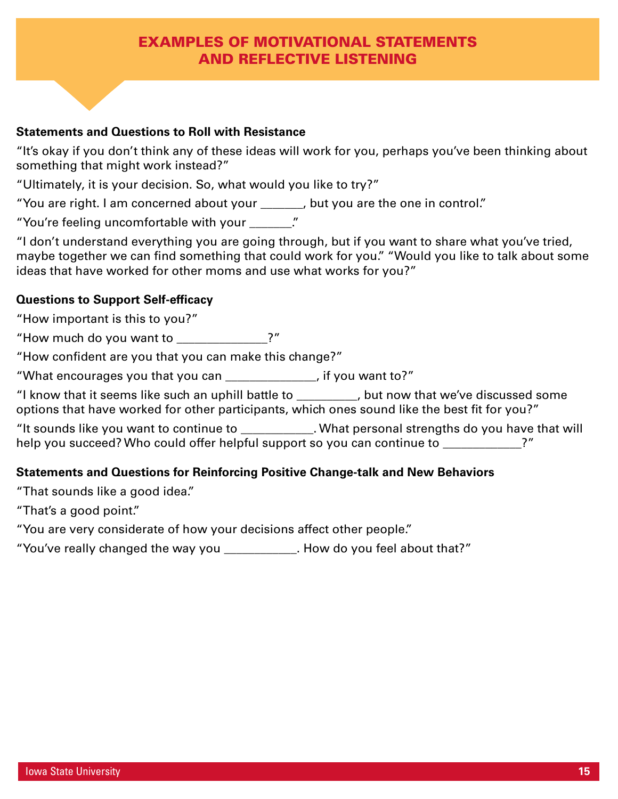# EXAMPLES OF MOTIVATIONAL STATEMENTS AND REFLECTIVE LISTENING

### **Statements and Questions to Roll with Resistance**

"It's okay if you don't think any of these ideas will work for you, perhaps you've been thinking about something that might work instead?"

"Ultimately, it is your decision. So, what would you like to try?"

"You are right. I am concerned about your \_\_\_\_\_\_\_, but you are the one in control."

"You're feeling uncomfortable with your \_\_\_\_\_\_\_."

"I don't understand everything you are going through, but if you want to share what you've tried, maybe together we can find something that could work for you." "Would you like to talk about some ideas that have worked for other moms and use what works for you?"

### **Questions to Support Self-efficacy**

"How important is this to you?"

"How much do you want to \_\_\_\_\_\_\_\_\_\_\_\_\_\_\_?"

"How confident are you that you can make this change?"

"What encourages you that you can \_\_\_\_\_\_\_\_\_\_\_\_\_\_\_, if you want to?"

"I know that it seems like such an uphill battle to \_\_\_\_\_\_\_\_\_\_, but now that we've discussed some options that have worked for other participants, which ones sound like the best fit for you?"

"It sounds like you want to continue to  $\blacksquare$ . What personal strengths do you have that will help you succeed? Who could offer helpful support so you can continue to \_\_\_\_\_\_\_\_\_\_\_\_?"

### **Statements and Questions for Reinforcing Positive Change-talk and New Behaviors**

"That sounds like a good idea."

"That's a good point."

"You are very considerate of how your decisions affect other people."

"You've really changed the way you \_\_\_\_\_\_\_\_\_\_\_\_. How do you feel about that?"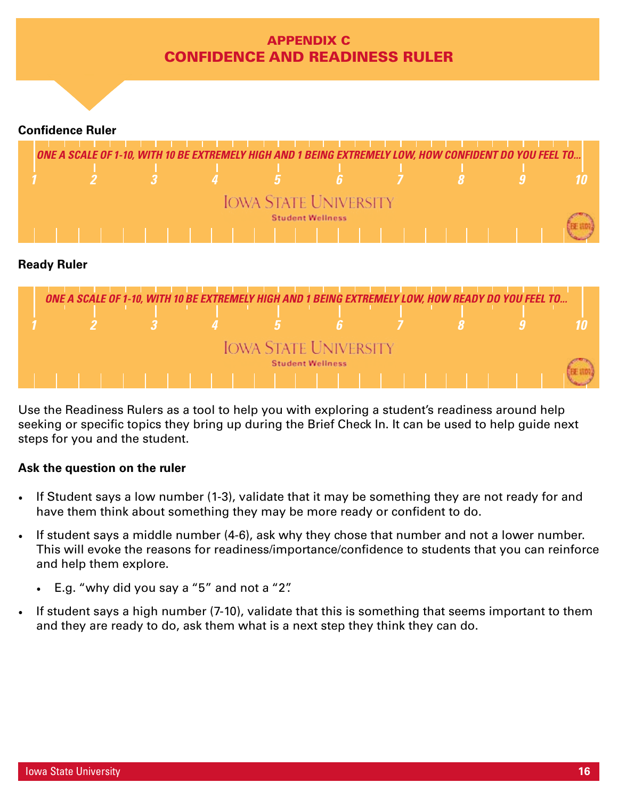# APPENDIX C CONFIDENCE AND READINESS RULER

### **Confidence Ruler**



### **Ready Ruler**

|  |  | ONE A SCALE OF 1-10, WITH 10 BE EXTREMELY HIGH AND 1 BEING EXTREMELY LOW, HOW READY DO YOU FEEL TO |                         |  |  |
|--|--|----------------------------------------------------------------------------------------------------|-------------------------|--|--|
|  |  |                                                                                                    |                         |  |  |
|  |  | <b>IOWA STATE UNIVERSITY</b>                                                                       |                         |  |  |
|  |  |                                                                                                    | <b>Student Wellness</b> |  |  |
|  |  |                                                                                                    |                         |  |  |

Use the Readiness Rulers as a tool to help you with exploring a student's readiness around help seeking or specific topics they bring up during the Brief Check In. It can be used to help guide next steps for you and the student.

### **Ask the question on the ruler**

- If Student says a low number (1-3), validate that it may be something they are not ready for and have them think about something they may be more ready or confident to do.
- If student says a middle number (4-6), ask why they chose that number and not a lower number. This will evoke the reasons for readiness/importance/confidence to students that you can reinforce and help them explore.
	- E.g. "why did you say a "5" and not a "2".
- If student says a high number (7-10), validate that this is something that seems important to them and they are ready to do, ask them what is a next step they think they can do.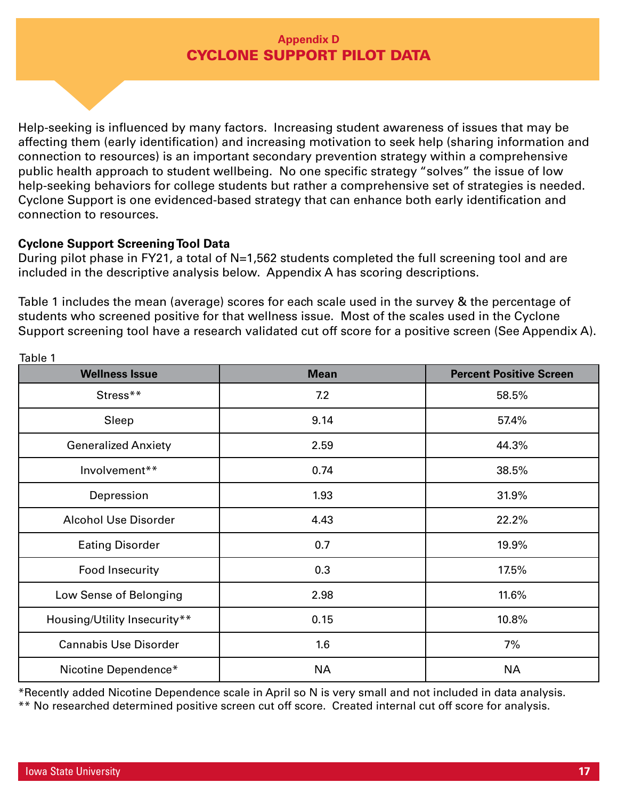# **Appendix D**  CYCLONE SUPPORT PILOT DATA

Help-seeking is influenced by many factors. Increasing student awareness of issues that may be affecting them (early identification) and increasing motivation to seek help (sharing information and connection to resources) is an important secondary prevention strategy within a comprehensive public health approach to student wellbeing. No one specific strategy "solves" the issue of low help-seeking behaviors for college students but rather a comprehensive set of strategies is needed. Cyclone Support is one evidenced-based strategy that can enhance both early identification and connection to resources.

### **Cyclone Support Screening Tool Data**

During pilot phase in FY21, a total of N=1,562 students completed the full screening tool and are included in the descriptive analysis below. Appendix A has scoring descriptions.

Table 1 includes the mean (average) scores for each scale used in the survey & the percentage of students who screened positive for that wellness issue. Most of the scales used in the Cyclone Support screening tool have a research validated cut off score for a positive screen (See Appendix A).

| <b>Wellness Issue</b>        | <b>Mean</b> | <b>Percent Positive Screen</b> |
|------------------------------|-------------|--------------------------------|
| Stress**                     | 7.2         | 58.5%                          |
| Sleep                        | 9.14        | 57.4%                          |
| <b>Generalized Anxiety</b>   | 2.59        | 44.3%                          |
| Involvement**                | 0.74        | 38.5%                          |
| Depression                   | 1.93        | 31.9%                          |
| <b>Alcohol Use Disorder</b>  | 4.43        | 22.2%                          |
| <b>Eating Disorder</b>       | 0.7         | 19.9%                          |
| Food Insecurity              | 0.3         | 17.5%                          |
| Low Sense of Belonging       | 2.98        | 11.6%                          |
| Housing/Utility Insecurity** | 0.15        | 10.8%                          |
| <b>Cannabis Use Disorder</b> | 1.6         | 7%                             |
| Nicotine Dependence*         | <b>NA</b>   | <b>NA</b>                      |

Table 1

\*Recently added Nicotine Dependence scale in April so N is very small and not included in data analysis.

\*\* No researched determined positive screen cut off score. Created internal cut off score for analysis.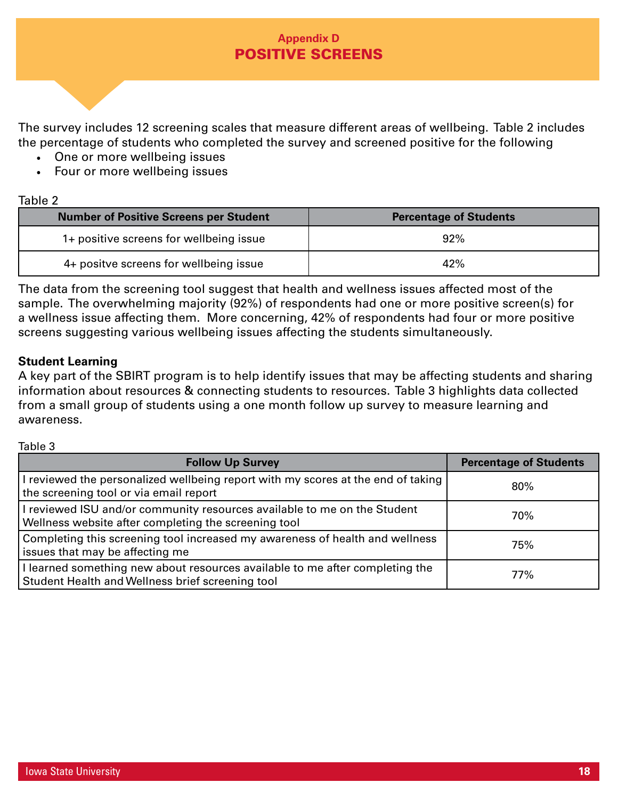# **Appendix D**  POSITIVE SCREENS

The survey includes 12 screening scales that measure different areas of wellbeing. Table 2 includes the percentage of students who completed the survey and screened positive for the following

- One or more wellbeing issues
- Four or more wellbeing issues

### Table 2

| <b>Number of Positive Screens per Student</b> | <b>Percentage of Students</b> |
|-----------------------------------------------|-------------------------------|
| 1+ positive screens for wellbeing issue       | 92%                           |
| 4+ positve screens for wellbeing issue        | 42%                           |

The data from the screening tool suggest that health and wellness issues affected most of the sample. The overwhelming majority (92%) of respondents had one or more positive screen(s) for a wellness issue affecting them. More concerning, 42% of respondents had four or more positive screens suggesting various wellbeing issues affecting the students simultaneously.

### **Student Learning**

A key part of the SBIRT program is to help identify issues that may be affecting students and sharing information about resources & connecting students to resources. Table 3 highlights data collected from a small group of students using a one month follow up survey to measure learning and awareness.

### Table 3

| <b>Follow Up Survey</b>                                                                                                          | <b>Percentage of Students</b> |
|----------------------------------------------------------------------------------------------------------------------------------|-------------------------------|
| I reviewed the personalized wellbeing report with my scores at the end of taking<br>the screening tool or via email report       | 80%                           |
| I reviewed ISU and/or community resources available to me on the Student<br>Wellness website after completing the screening tool | 70%                           |
| Completing this screening tool increased my awareness of health and wellness<br>issues that may be affecting me                  | 75%                           |
| I learned something new about resources available to me after completing the<br>Student Health and Wellness brief screening tool | 77%                           |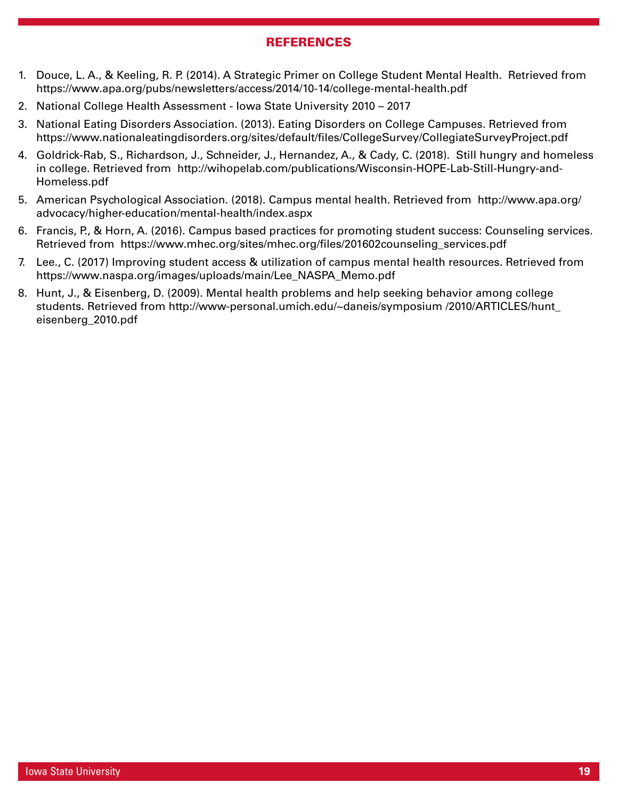### **REFERENCES**

- 1. Douce, L. A., & Keeling, R. P. (2014). A Strategic Primer on College Student Mental Health. Retrieved from https://www.apa.org/pubs/newsletters/access/2014/10-14/college-mental-health.pdf
- 2. National College Health Assessment Iowa State University 2010 2017
- 3. National Eating Disorders Association. (2013). Eating Disorders on College Campuses. Retrieved from https://www.nationaleatingdisorders.org/sites/default/files/CollegeSurvey/CollegiateSurveyProject.pdf
- 4. Goldrick-Rab, S., Richardson, J., Schneider, J., Hernandez, A., & Cady, C. (2018). Still hungry and homeless in college. Retrieved from http://wihopelab.com/publications/Wisconsin-HOPE-Lab-Still-Hungry-and-Homeless.pdf
- 5. American Psychological Association. (2018). Campus mental health. Retrieved from http://www.apa.org/ advocacy/higher-education/mental-health/index.aspx
- 6. Francis, P., & Horn, A. (2016). Campus based practices for promoting student success: Counseling services. Retrieved from https://www.mhec.org/sites/mhec.org/files/201602counseling\_services.pdf
- 7. Lee., C. (2017) Improving student access & utilization of campus mental health resources. Retrieved from https://www.naspa.org/images/uploads/main/Lee\_NASPA\_Memo.pdf
- 8. Hunt, J., & Eisenberg, D. (2009). Mental health problems and help seeking behavior among college students. Retrieved from http://www-personal.umich.edu/~daneis/symposium /2010/ARTICLES/hunt\_ eisenberg\_2010.pdf